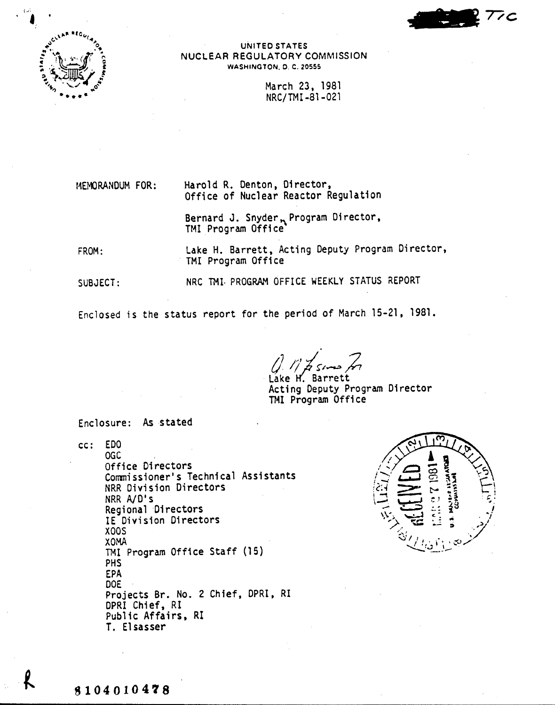

UNITED STATES NUCLEAR REGULATORY COMMISSION WASHINGTON, D. C, 20555

> March 23,1981 NRC/TMI -81-021

MEMORANDUM FOR:

Harold R. Denton, Director, Office of Nuclear Reactor Regulation

Bernard J. Snyder<sub>n</sub> Program Director, TMI Program Office

FROM: Lake H. Barrett, Acting Deputy Program Director, TMI Program Office

SUBJECT: NRC TMI. PROGRAM OFFICE WEEKLY STATUS REPORT

Enclosed is the status report for the period of March 15-21, 1981 •

. *() I;' ./~/~ J,* Lake H. Barrett

Acting Deputy Program Director TMI Program Office

Enclosure: As stated

cc: EDO OGC Office Directors Commissioner's Technical Assistants NRR Division Directors NRR A/D's Regional Directors IE Division Directors XOOS XOMA TMI Program Office Staff (15) PHS EPA DOE Projects Br. No. 2 Chief, DPRI, RI DPRI Chief, RI Public Affairs, RI T. Elsasser

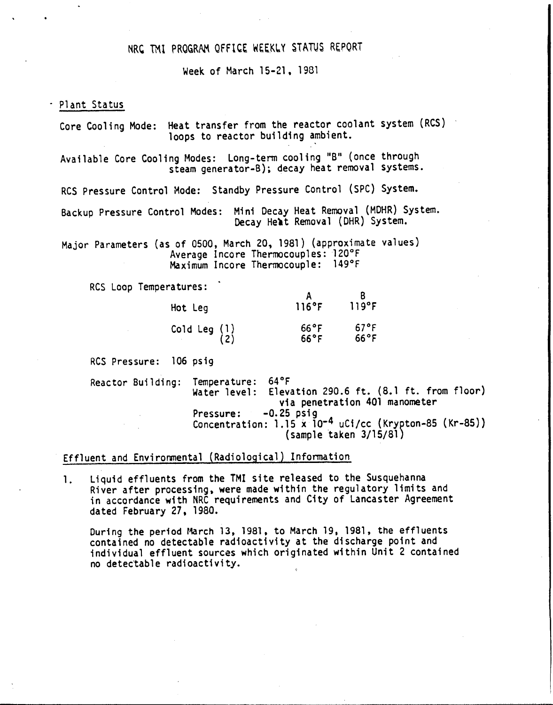# NRC TMI PROGRAM OFFICE WEEKLY STATUS REPORT

Week of March 15-21,1981

#### . Plant Status

Core Cooling Mode: Heat transfer from the reactor coolant system (RCS) loops to reactor building ambient.

Available Core Cooling Modes: Long-term cooling "B" (once through steam generator-B); decay heat removal systems.

RCS Pressure Control Mode: Standby Pressure Control (SPC) System.

Backup Pressure Control Modes: Mini Decay Heat Removal (MOHR) System. Decay Hert Removal (DHR) System.

Major Parameters (as of 0500, March 20,1981) (approximate values) Average Incore Thermocouples: 120°F Maximum Incore Thermocouple: 149°F

RCS Loop Temperatures:

| Hot Leg               | 116°F                            | 119°F                  |
|-----------------------|----------------------------------|------------------------|
| Cold Leg $(1)$<br>(2) | $66^{\circ}$ F<br>$66^{\circ}$ F | 67°F<br>$66^{\circ}$ F |

RCS Pressure: 106 psig

Reactor Building: Temperature: 64°F Water level: Elevation 290.6 ft. (8.1 ft. from floor) via penetration 401 manometer Pressure: -0.25 psig Concentration: 1.15 x 10<sup>-4</sup> uCi/cc (Krypton-85 (Kr-85)) (sample taken 3/15/81)

### Effluent and Environmental (Radiological) Information

1. Liquid effluents from the TMI site released to the Susquehanna River after processing, were made within the regulatory limits and in accordance with NRC requirements and City of Lancaster Agreement dated February 27. 1980.

During the period March 13, 1981, to March 19, 1981, the effluents contained no detectable radioactivity at the discharge point and individual effluent sources which originated within Unit 2 contained no detectable radioactivity.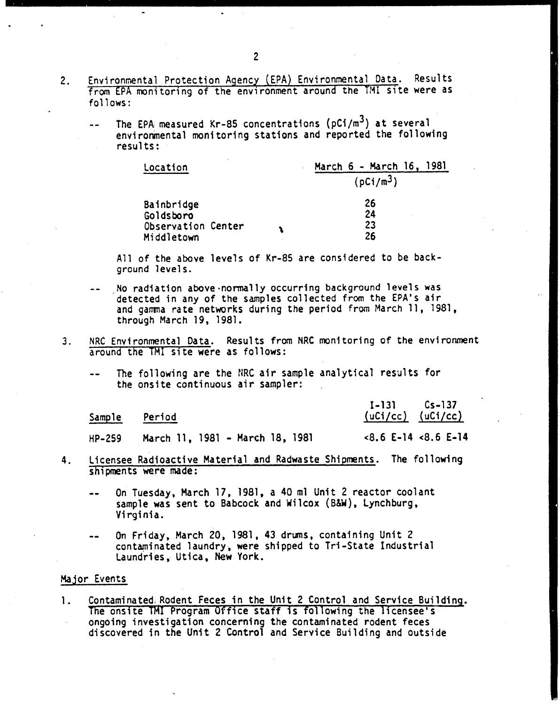- Environmental Protection Agency (EPA) Environmental Data. Results 2. from EPA monitoring of the environment around the TMI site were as follows:
	- The EPA measured Kr-85 concentrations ( $pCi/m<sup>3</sup>$ ) at several environmental monitoring stations and reported the following results:

| Location           |  | March 6 - March 16, 1981 |  |
|--------------------|--|--------------------------|--|
|                    |  | (pCi/m <sup>3</sup> )    |  |
| Bainbridge         |  | 26                       |  |
| Goldsboro          |  | 24                       |  |
| Observation Center |  | 23                       |  |
| Middletown         |  | 26                       |  |

All of the above levels of Kr-85 are considered to be background levels.

- , No radiation above normally occurring background levels was detected in any of the samples collected from the EPA's air and gamma rate networks during the period from March 11, 1981, through March 19, 1981.
- 3. NRC Environmental Data. Results from NRC monitoring of the environment around the TMI site were as follows:
	- The following are the NRC air sample analytical results for the onsite continuous air sampler:

| Sample | Period                          | $I-131$ $Cs-137$<br>$(uCi/cc)$ $(uCi/cc)$ |
|--------|---------------------------------|-------------------------------------------|
| HP-259 | March 11, 1981 - March 18, 1981 | $<8.6$ E-14 $<8.6$ E-14                   |

- 4. Licensee Radioactive Material and Radwaste Shipments. The following shipments were made:
	- On Tuesday, March 17, 1981, a 40 ml Unit 2 reactor coolant  $\sim$   $\sim$ sample was sent to Babcock and Wilcox (B&W), Lynchburg, Virginia.
	- On Friday, March 20, 1981,43 drums. containing Unit 2 contaminated laundry, were shipped to Tri-State Industrial Laundries, Utica, New York.

### Major Events

1. Contaminated Rodent Feces in the Unit 2 Control and Service Building. The onsite THI Program Office staff is following the licensee's ongoing investigation concerning the contaminated rodent feces discovered in the Unit 2 Control and Service Building and outside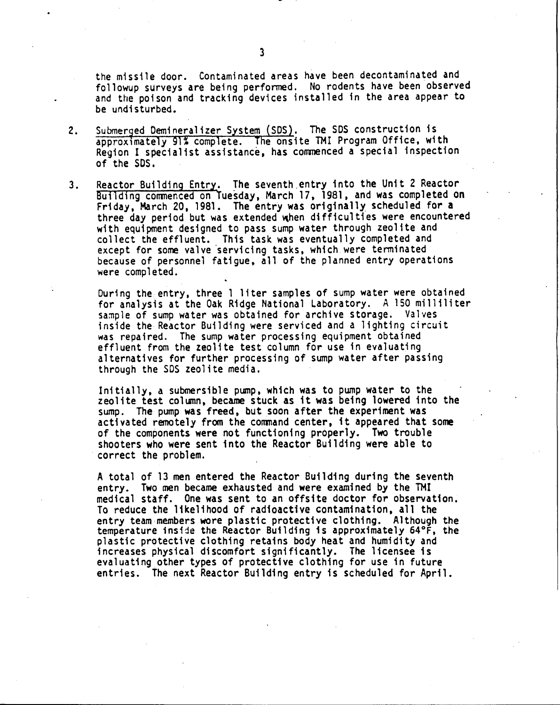the missile door. Contaminated areas have been decontaminated and followup surveys are being performed. No rodents have been observed and the poison and tracking devices installed in the area appear to be undisturbed.

- Submerged Demineralizer System (SDS). The SDS construction is 2. approximately 91% complete. The onsite TMI Program Office, with Region I specialist assistance, has commenced a special inspection of the SDS.
- 3. Reactor Building Entry. The seventh entry into the Unit 2 Reactor Building commenced on Tuesday, March 17, 1981, and was completed on Friday, March 20, 1981. The entry was originally scheduled for a three day period but was extended when difficulties were encountered with equipment designed to pass sump water through zeolite and collect the effluent. This task was eventually completed and except for some valve 'servicing tasks, which were tenninated because of personnel fatigue. all of the planned entry operations were completed.

During the. entry, three 1 liter samples of sump water were obtained for analysis at the Oak Ridge National Laboratory. A 150 milliliter sample of sump water was obtained for archive storage. Valves inside the Reactor Building were serviced and a lighting circuit was repaired. The sump water processing equipment obtained effluent from the zeolite test column for use in evaluating alternatives for further processing of sump water after passing through the SOS zeolite media.

Initially, a submersible pump, which was to pump water to the zeolite test column, became stuck as it was being lowered into the sump. The pump was freed, but soon after the experiment was activated remotely from the command center, it appeared that some of the components were not functioning properly. Two trouble shooters who were sent into the Reactor Building were able to correct the problem.

A total of 13 men entered the Reactor Building during the seventh entry. Two men became exhausted and were examined by the TMI medical staff. One was sent to an offsite doctor for observation. To reduce the likelihood of radioactive contamination, all the entry team members wore plastic protective clothing. Although the temperature inside the Reactor Building is approximately 64°F, the plastic protective clothing retains body heat and humidity and increases physical discomfort significantly. The licensee is evaluating other types of protective clothing for use in future entries. The next Reactor Building entry 1s scheduled for April.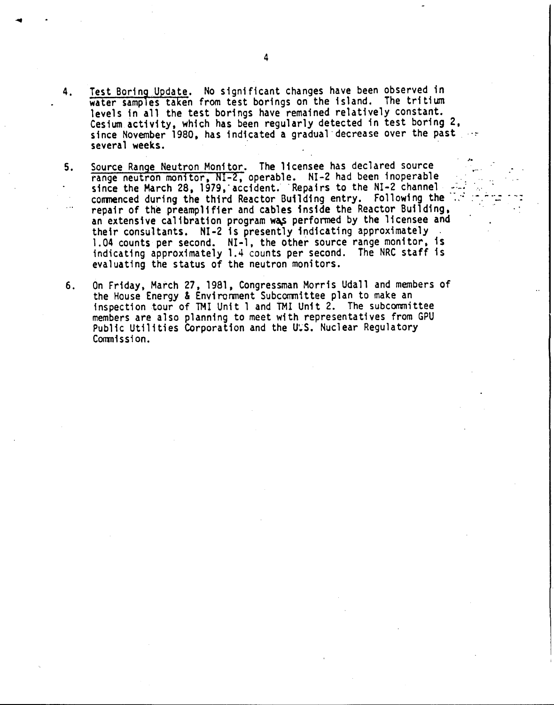4. Test Boring Update. No significant changes have been observed in water samples taken from test borings on the island. The tritium levels in all the test borings have remained relatively constant. Cesium activity, which has been regularly detected in test boring 2, since November 1980, has indicated a gradual decrease over the past ... several weeks.

,.

- 5. Source Range Neutron Monitor. The licensee has declared source range neutron monitor, NI-2, operable. NI-2 had been inoperable since the March 28, 1979, accident. Repairs to the NI-2 channel commenced during the third Reactor Building entry. Following the repair of the preamplifier and cables inside the Reactor Building, an extensive calibration program was performed by the licensee and their consultants. NI-2 is presently indicating approximately 1.04 counts per second. NI-l, the other source range monitor, is indicating approximately 1.4 counts per second. The NRC staff is evaluating the status of the neutron monitors.
- 6. On Friday, March 27, 1981, Congressman Morris Udall and members of the House Energy & Environment Subcommittee plan to make an inspection tour of THI Unit 1 and TMI Unit 2. The subccmnittee members are also planning to meet with representatives from GPU Public Utilities Corporation and the U.S. Nuclear Regulatory Commission.

 $\ddot{\phantom{0}}$